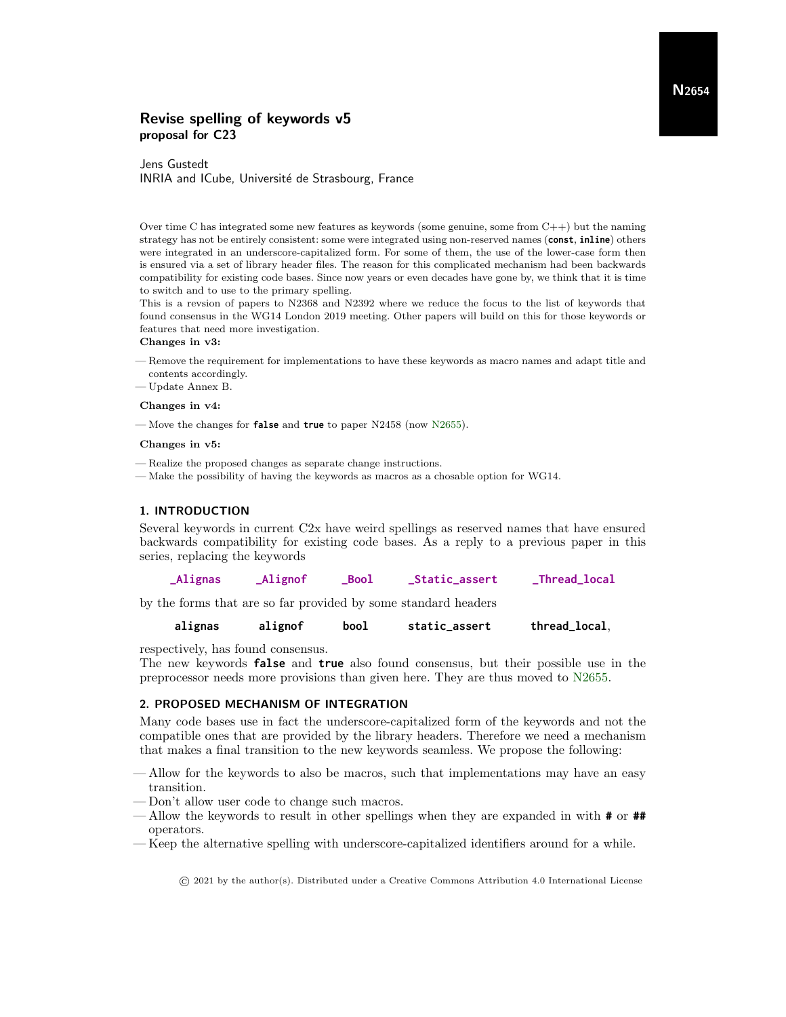# Revise spelling of keywords v5 proposal for C23

# Jens Gustedt INRIA and ICube, Université de Strasbourg, France

Over time C has integrated some new features as keywords (some genuine, some from  $C++$ ) but the naming strategy has not be entirely consistent: some were integrated using non-reserved names (**const**, **inline**) others were integrated in an underscore-capitalized form. For some of them, the use of the lower-case form then is ensured via a set of library header files. The reason for this complicated mechanism had been backwards compatibility for existing code bases. Since now years or even decades have gone by, we think that it is time to switch and to use to the primary spelling.

This is a revsion of papers to N2368 and N2392 where we reduce the focus to the list of keywords that found consensus in the WG14 London 2019 meeting. Other papers will build on this for those keywords or features that need more investigation.

#### Changes in v3:

- Remove the requirement for implementations to have these keywords as macro names and adapt title and contents accordingly.
- Update Annex B.

#### Changes in v4:

— Move the changes for **false** and **true** to paper N2458 (now [N2655\)](http://www.open-std.org/jtc1/sc22/wg14/www/docs/n2655.pdf).

#### Changes in v5:

- Realize the proposed changes as separate change instructions.
- Make the possibility of having the keywords as macros as a chosable option for WG14.

#### 1. INTRODUCTION

Several keywords in current C2x have weird spellings as reserved names that have ensured backwards compatibility for existing code bases. As a reply to a previous paper in this series, replacing the keywords

|  | _Alignas | <b>Alignof</b> | _Bool | <b>_Static_assert</b> | _Thread_local |
|--|----------|----------------|-------|-----------------------|---------------|
|--|----------|----------------|-------|-----------------------|---------------|

by the forms that are so far provided by some standard headers

#### **alignas alignof bool static\_assert thread\_local**,

respectively, has found consensus.

The new keywords **false** and **true** also found consensus, but their possible use in the preprocessor needs more provisions than given here. They are thus moved to [N2655.](http://www.open-std.org/jtc1/sc22/wg14/www/docs/n2655.pdf)

#### 2. PROPOSED MECHANISM OF INTEGRATION

Many code bases use in fact the underscore-capitalized form of the keywords and not the compatible ones that are provided by the library headers. Therefore we need a mechanism that makes a final transition to the new keywords seamless. We propose the following:

- Allow for the keywords to also be macros, such that implementations may have an easy transition.
- Don't allow user code to change such macros.
- Allow the keywords to result in other spellings when they are expanded in with **#** or **##** operators.
- Keep the alternative spelling with underscore-capitalized identifiers around for a while.

© 2021 by the author(s). Distributed under a Creative Commons Attribution 4.0 International License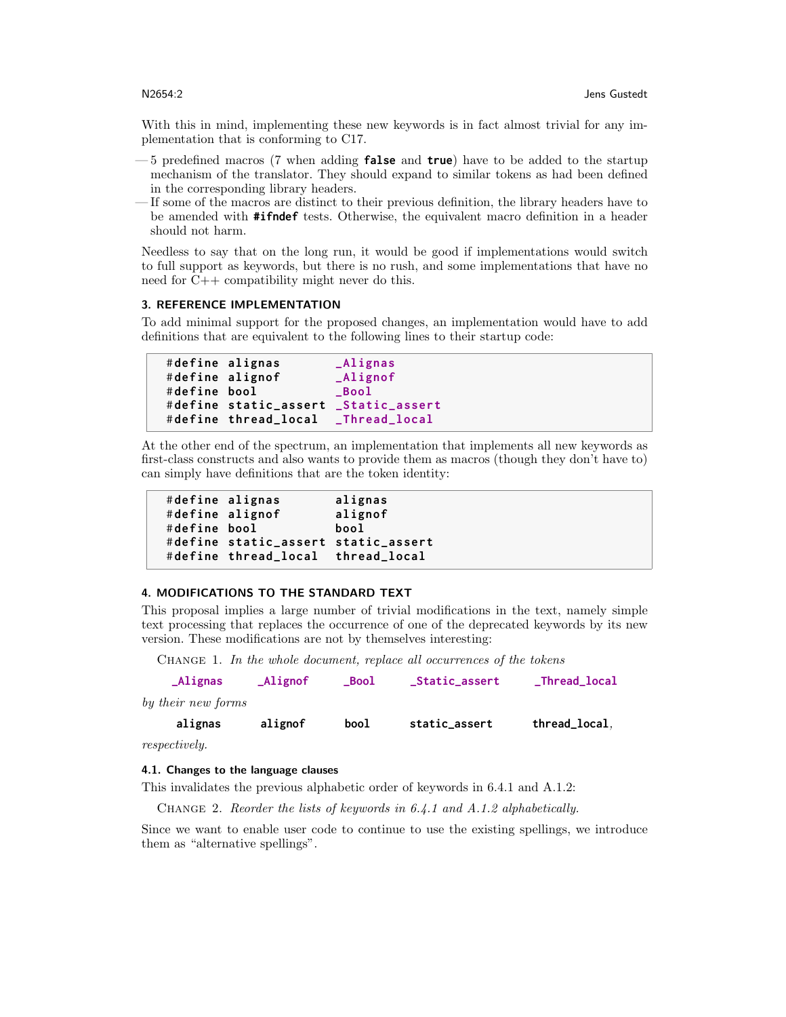With this in mind, implementing these new keywords is in fact almost trivial for any implementation that is conforming to C17.

- 5 predefined macros (7 when adding **false** and **true**) have to be added to the startup mechanism of the translator. They should expand to similar tokens as had been defined in the corresponding library headers.
- If some of the macros are distinct to their previous definition, the library headers have to be amended with **#ifndef** tests. Otherwise, the equivalent macro definition in a header should not harm.

Needless to say that on the long run, it would be good if implementations would switch to full support as keywords, but there is no rush, and some implementations that have no need for C++ compatibility might never do this.

## 3. REFERENCE IMPLEMENTATION

To add minimal support for the proposed changes, an implementation would have to add definitions that are equivalent to the following lines to their startup code:

```
# define alignas _Alignas
# define alignof _Alignof
# define bool _Bool
# define static_assert _Static_assert
# define thread_local _Thread_local
```
At the other end of the spectrum, an implementation that implements all new keywords as first-class constructs and also wants to provide them as macros (though they don't have to) can simply have definitions that are the token identity:

|              | #define alignas                     | alignas |
|--------------|-------------------------------------|---------|
|              | #define alignof                     | alignof |
| #define bool |                                     | bool    |
|              | #define static_assert static_assert |         |
|              | #define thread_local thread_local   |         |

# 4. MODIFICATIONS TO THE STANDARD TEXT

This proposal implies a large number of trivial modifications in the text, namely simple text processing that replaces the occurrence of one of the deprecated keywords by its new version. These modifications are not by themselves interesting:

CHANGE 1. In the whole document, replace all occurrences of the tokens

| $\Delta$ lignas            | $\mathsf{\Delta l}$ ignof | <b>Bool</b> | _Static_assert | _Thread_local |
|----------------------------|---------------------------|-------------|----------------|---------------|
| by their new forms         |                           |             |                |               |
| alignas                    | alignof                   | bool        | static_assert  | thread_local, |
| $\cdots$ $\cdots$ $\cdots$ |                           |             |                |               |

respectively.

# 4.1. Changes to the language clauses

This invalidates the previous alphabetic order of keywords in 6.4.1 and A.1.2:

Change 2. Reorder the lists of keywords in 6.4.1 and A.1.2 alphabetically.

Since we want to enable user code to continue to use the existing spellings, we introduce them as "alternative spellings".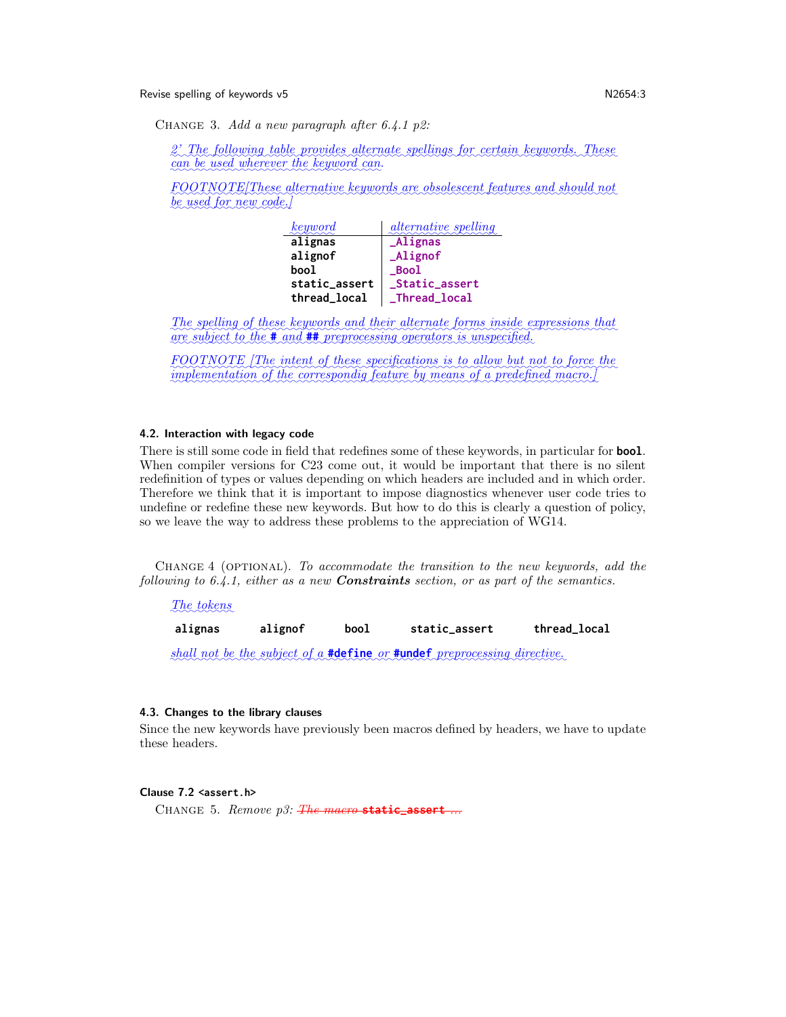Revise spelling of keywords v5 N2654:3

CHANGE 3. Add a new paragraph after 6.4.1 p2:

 $\approx$ 2' The following table provides alternate spellings for certain keywords. These can be used wherever the keyword can.

FOOTNOTE[These alternative keywords are obsolescent features and should not be used for new code.]

| keyword       | <i>alternative spelling</i> |
|---------------|-----------------------------|
| alignas       | <b>Alignas</b>              |
| alignof       | $\_\text{Alignof}$          |
| bool          | $_Bood$                     |
| static_assert | _Static_assert              |
| thread_local  | _Thread_local               |

The spelling of these keywords and their alternate forms inside expressions that are subject to the **#** and **##** preprocessing operators is unspecified.

✿✿✿✿✿✿✿✿✿✿✿✿ FOOTNOTE The intent of these specifications is to allow but not to force the implementation of the correspondig feature by means of a predefined macro.]

#### 4.2. Interaction with legacy code

There is still some code in field that redefines some of these keywords, in particular for **bool**. When compiler versions for C23 come out, it would be important that there is no silent redefinition of types or values depending on which headers are included and in which order. Therefore we think that it is important to impose diagnostics whenever user code tries to undefine or redefine these new keywords. But how to do this is clearly a question of policy, so we leave the way to address these problems to the appreciation of WG14.

CHANGE 4 (OPTIONAL). To accommodate the transition to the new keywords, add the following to  $6.4.1$ , either as a new **Constraints** section, or as part of the semantics.

# The tokens

**alignas alignof bool static\_assert thread\_local**

shall not be the subject of a **#define** or **#undef** preprocessing directive.

# 4.3. Changes to the library clauses

Since the new keywords have previously been macros defined by headers, we have to update these headers.

# Clause 7.2 **<assert.h>**

Change 5. Remove p3: The macro **static\_assert** ...